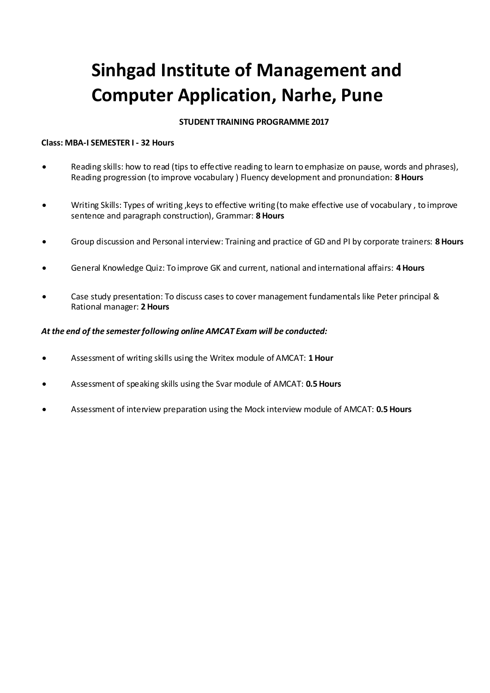# **Sinhgad Institute of Management and Computer Application, Narhe, Pune**

### **STUDENT TRAINING PROGRAMME 2017**

#### **Class: MBA-I SEMESTER I - 32 Hours**

- Reading skills: how to read (tips to effective reading to learn to emphasize on pause, words and phrases), Reading progression (to improve vocabulary ) Fluency development and pronunciation: **8 Hours**
- Writing Skills: Types of writing ,keys to effective writing (to make effective use of vocabulary , to improve sentence and paragraph construction), Grammar: **8 Hours**
- Group discussion and Personal interview: Training and practice of GD and PI by corporate trainers: **8 Hours**
- General Knowledge Quiz: To improve GK and current, national and international affairs: **4 Hours**
- Case study presentation: To discuss cases to cover management fundamentals like Peter principal & Rational manager: **2 Hours**

#### *At the end of the semester following online AMCAT Exam will be conducted:*

- Assessment of writing skills using the Writex module of AMCAT: **1 Hour**
- Assessment of speaking skills using the Svar module of AMCAT: **0.5 Hours**
- Assessment of interview preparation using the Mock interview module of AMCAT: **0.5 Hours**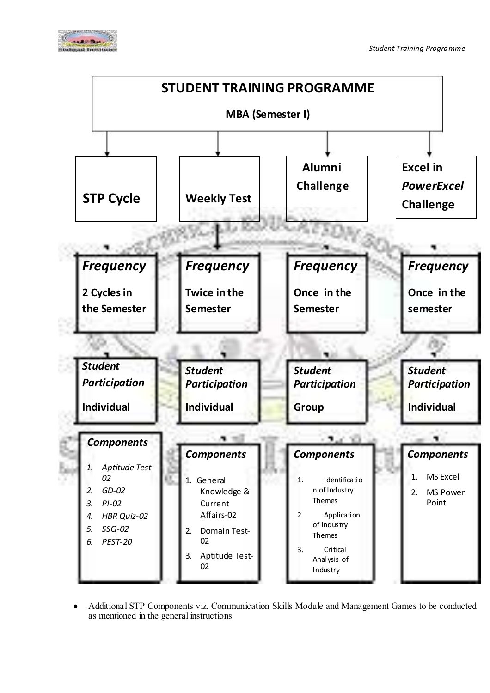



 Additional STP Components viz. Communication Skills Module and Management Games to be conducted as mentioned in the general instructions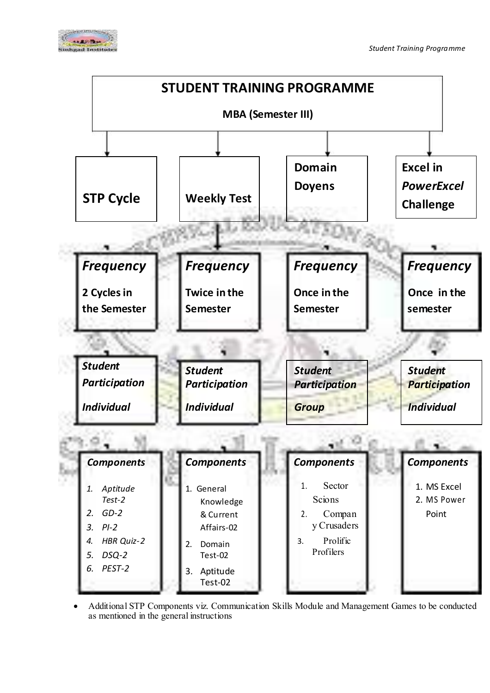



 Additional STP Components viz. Communication Skills Module and Management Games to be conducted as mentioned in the general instructions